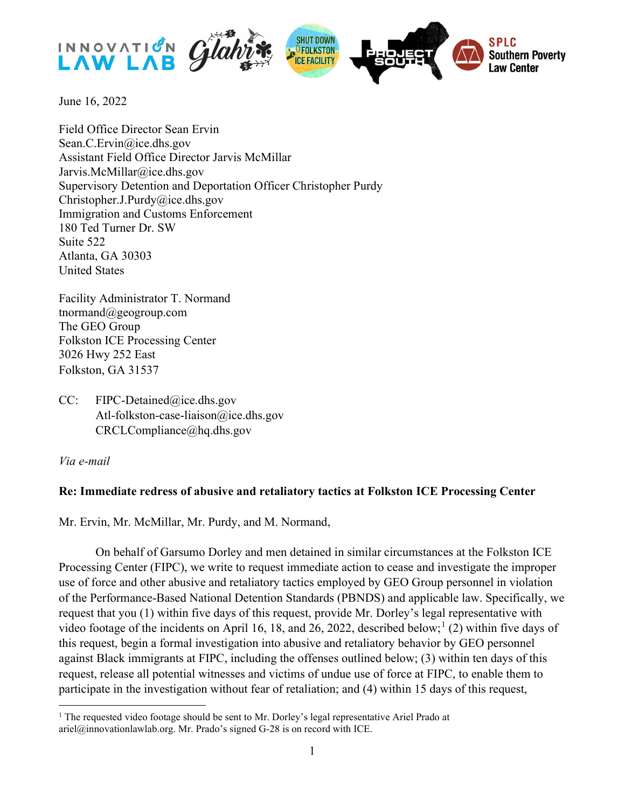

June 16, 2022

Field Office Director Sean Ervin Sean.C.Ervin@ice.dhs.gov Assistant Field Office Director Jarvis McMillar Jarvis.McMillar@ice.dhs.gov Supervisory Detention and Deportation Officer Christopher Purdy Christopher.J.Purdy@ice.dhs.gov Immigration and Customs Enforcement 180 Ted Turner Dr. SW Suite 522 Atlanta, GA 30303 United States

Facility Administrator T. Normand tnormand@geogroup.com The GEO Group Folkston ICE Processing Center 3026 Hwy 252 East Folkston, GA 31537

CC: FIPC-Detained@ice.dhs.gov Atl-folkston-case-liaison@ice.dhs.gov CRCLCompliance@hq.dhs.gov

Via e-mail

## Re: Immediate redress of abusive and retaliatory tactics at Folkston ICE Processing Center

Mr. Ervin, Mr. McMillar, Mr. Purdy, and M. Normand,

On behalf of Garsumo Dorley and men detained in similar circumstances at the Folkston ICE Processing Center (FIPC), we write to request immediate action to cease and investigate the improper use of force and other abusive and retaliatory tactics employed by GEO Group personnel in violation of the Performance-Based National Detention Standards (PBNDS) and applicable law. Specifically, we request that you (1) within five days of this request, provide Mr. Dorley's legal representative with video footage of the incidents on April 16, 18, and 26, 2022, described below;<sup>1</sup> (2) within five days of this request, begin a formal investigation into abusive and retaliatory behavior by GEO personnel against Black immigrants at FIPC, including the offenses outlined below; (3) within ten days of this request, release all potential witnesses and victims of undue use of force at FIPC, to enable them to participate in the investigation without fear of retaliation; and (4) within 15 days of this request,

<sup>&</sup>lt;sup>1</sup> The requested video footage should be sent to Mr. Dorley's legal representative Ariel Prado at ariel@innovationlawlab.org. Mr. Prado's signed G-28 is on record with ICE.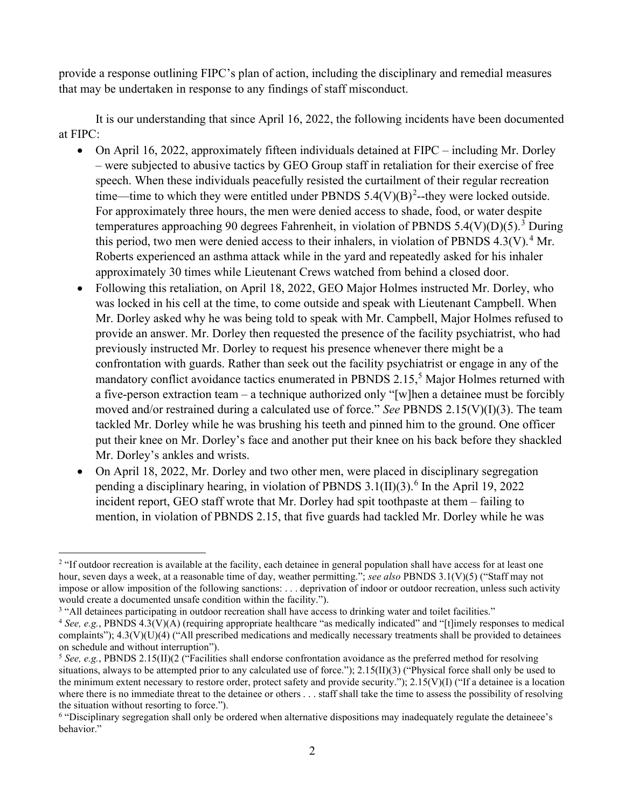provide a response outlining FIPC's plan of action, including the disciplinary and remedial measures that may be undertaken in response to any findings of staff misconduct.

It is our understanding that since April 16, 2022, the following incidents have been documented at FIPC:

- On April 16, 2022, approximately fifteen individuals detained at FIPC including Mr. Dorley – were subjected to abusive tactics by GEO Group staff in retaliation for their exercise of free speech. When these individuals peacefully resisted the curtailment of their regular recreation time—time to which they were entitled under PBNDS  $5.4(V)(B)^2$ --they were locked outside. For approximately three hours, the men were denied access to shade, food, or water despite temperatures approaching 90 degrees Fahrenheit, in violation of PBNDS 5.4(V)(D)(5).<sup>3</sup> During this period, two men were denied access to their inhalers, in violation of PBNDS 4.3(V).<sup>4</sup> Mr. Roberts experienced an asthma attack while in the yard and repeatedly asked for his inhaler approximately 30 times while Lieutenant Crews watched from behind a closed door.
- Following this retaliation, on April 18, 2022, GEO Major Holmes instructed Mr. Dorley, who was locked in his cell at the time, to come outside and speak with Lieutenant Campbell. When Mr. Dorley asked why he was being told to speak with Mr. Campbell, Major Holmes refused to provide an answer. Mr. Dorley then requested the presence of the facility psychiatrist, who had previously instructed Mr. Dorley to request his presence whenever there might be a confrontation with guards. Rather than seek out the facility psychiatrist or engage in any of the mandatory conflict avoidance tactics enumerated in PBNDS 2.15,<sup>5</sup> Major Holmes returned with a five-person extraction team – a technique authorized only "[w]hen a detainee must be forcibly moved and/or restrained during a calculated use of force." See PBNDS 2.15(V)(I)(3). The team tackled Mr. Dorley while he was brushing his teeth and pinned him to the ground. One officer put their knee on Mr. Dorley's face and another put their knee on his back before they shackled Mr. Dorley's ankles and wrists.
- On April 18, 2022, Mr. Dorley and two other men, were placed in disciplinary segregation pending a disciplinary hearing, in violation of PBNDS  $3.1(II)(3)$ .<sup>6</sup> In the April 19, 2022 incident report, GEO staff wrote that Mr. Dorley had spit toothpaste at them – failing to mention, in violation of PBNDS 2.15, that five guards had tackled Mr. Dorley while he was

<sup>&</sup>lt;sup>2</sup> "If outdoor recreation is available at the facility, each detainee in general population shall have access for at least one hour, seven days a week, at a reasonable time of day, weather permitting."; see also PBNDS 3.1(V)(5) ("Staff may not impose or allow imposition of the following sanctions: . . . deprivation of indoor or outdoor recreation, unless such activity would create a documented unsafe condition within the facility.").

<sup>&</sup>lt;sup>3</sup> "All detainees participating in outdoor recreation shall have access to drinking water and toilet facilities."

<sup>&</sup>lt;sup>4</sup> See, e.g., PBNDS 4.3(V)(A) (requiring appropriate healthcare "as medically indicated" and "[t]imely responses to medical complaints");  $4.3(V)(U)(4)$  ("All prescribed medications and medically necessary treatments shall be provided to detainees on schedule and without interruption").

<sup>&</sup>lt;sup>5</sup> See, e.g., PBNDS 2.15(II)(2 ("Facilities shall endorse confrontation avoidance as the preferred method for resolving situations, always to be attempted prior to any calculated use of force.");  $2.15(II)(3)$  ("Physical force shall only be used to the minimum extent necessary to restore order, protect safety and provide security.");  $2.15(V)(I)$  ("If a detainee is a location where there is no immediate threat to the detainee or others . . . staff shall take the time to assess the possibility of resolving the situation without resorting to force.").

<sup>&</sup>lt;sup>6</sup> "Disciplinary segregation shall only be ordered when alternative dispositions may inadequately regulate the detaineee's behavior."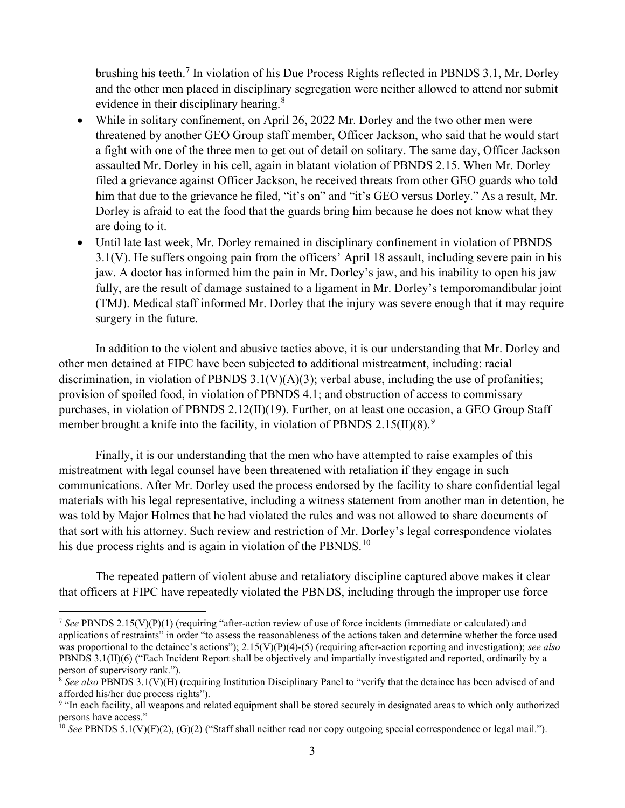brushing his teeth.<sup>7</sup> In violation of his Due Process Rights reflected in PBNDS 3.1, Mr. Dorley and the other men placed in disciplinary segregation were neither allowed to attend nor submit evidence in their disciplinary hearing.<sup>8</sup>

- While in solitary confinement, on April 26, 2022 Mr. Dorley and the two other men were threatened by another GEO Group staff member, Officer Jackson, who said that he would start a fight with one of the three men to get out of detail on solitary. The same day, Officer Jackson assaulted Mr. Dorley in his cell, again in blatant violation of PBNDS 2.15. When Mr. Dorley filed a grievance against Officer Jackson, he received threats from other GEO guards who told him that due to the grievance he filed, "it's on" and "it's GEO versus Dorley." As a result, Mr. Dorley is afraid to eat the food that the guards bring him because he does not know what they are doing to it.
- Until late last week, Mr. Dorley remained in disciplinary confinement in violation of PBNDS 3.1(V). He suffers ongoing pain from the officers' April 18 assault, including severe pain in his jaw. A doctor has informed him the pain in Mr. Dorley's jaw, and his inability to open his jaw fully, are the result of damage sustained to a ligament in Mr. Dorley's temporomandibular joint (TMJ). Medical staff informed Mr. Dorley that the injury was severe enough that it may require surgery in the future.

In addition to the violent and abusive tactics above, it is our understanding that Mr. Dorley and other men detained at FIPC have been subjected to additional mistreatment, including: racial discrimination, in violation of PBNDS  $3.1(V)(A)(3)$ ; verbal abuse, including the use of profanities; provision of spoiled food, in violation of PBNDS 4.1; and obstruction of access to commissary purchases, in violation of PBNDS 2.12(II)(19). Further, on at least one occasion, a GEO Group Staff member brought a knife into the facility, in violation of PBNDS  $2.15(II)(8)$ .<sup>9</sup>

Finally, it is our understanding that the men who have attempted to raise examples of this mistreatment with legal counsel have been threatened with retaliation if they engage in such communications. After Mr. Dorley used the process endorsed by the facility to share confidential legal materials with his legal representative, including a witness statement from another man in detention, he was told by Major Holmes that he had violated the rules and was not allowed to share documents of that sort with his attorney. Such review and restriction of Mr. Dorley's legal correspondence violates his due process rights and is again in violation of the PBNDS.<sup>10</sup>

The repeated pattern of violent abuse and retaliatory discipline captured above makes it clear that officers at FIPC have repeatedly violated the PBNDS, including through the improper use force

<sup>&</sup>lt;sup>7</sup> See PBNDS 2.15(V)(P)(1) (requiring "after-action review of use of force incidents (immediate or calculated) and applications of restraints" in order "to assess the reasonableness of the actions taken and determine whether the force used was proportional to the detainee's actions");  $2.15(V)(P)(4)-(5)$  (requiring after-action reporting and investigation); see also PBNDS 3.1(II)(6) ("Each Incident Report shall be objectively and impartially investigated and reported, ordinarily by a person of supervisory rank.").

 $8$  See also PBNDS 3.1(V)(H) (requiring Institution Disciplinary Panel to "verify that the detainee has been advised of and afforded his/her due process rights").

<sup>&</sup>lt;sup>9</sup> "In each facility, all weapons and related equipment shall be stored securely in designated areas to which only authorized persons have access."

<sup>&</sup>lt;sup>10</sup> See PBNDS 5.1(V)(F)(2), (G)(2) ("Staff shall neither read nor copy outgoing special correspondence or legal mail.").